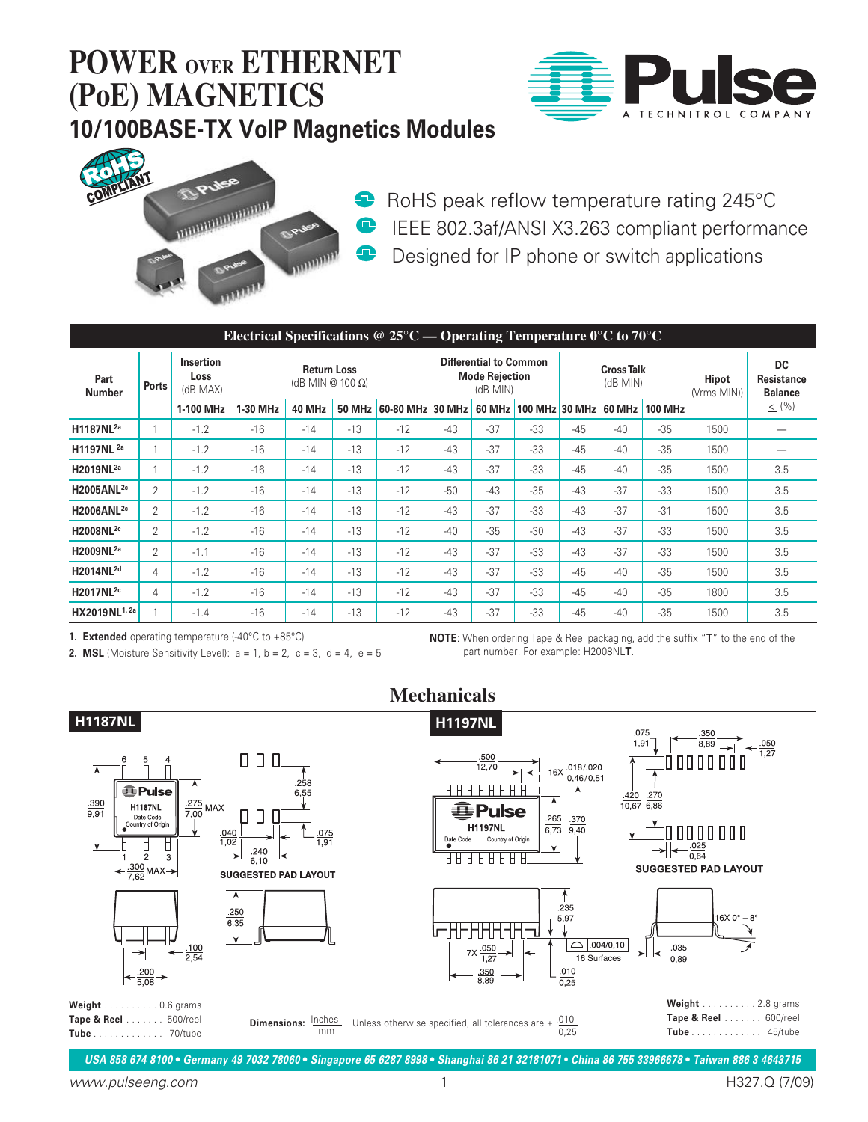



**RoHS** peak reflow temperature rating 245°C **IEEE 802.3af/ANSI X3.263 compliant performance Designed for IP phone or switch applications** 

| Electrical Specifications @ 25 $\degree$ C — Operating Temperature $0\degree$ C to 70 $\degree$ C |       |                                      |                                        |        |               |           |                                                                    |        |                |                               |        |                |                             |                                           |
|---------------------------------------------------------------------------------------------------|-------|--------------------------------------|----------------------------------------|--------|---------------|-----------|--------------------------------------------------------------------|--------|----------------|-------------------------------|--------|----------------|-----------------------------|-------------------------------------------|
| Part<br><b>Number</b>                                                                             | Ports | <b>Insertion</b><br>Loss<br>(dB MAX) | <b>Return Loss</b><br>(dB MIN @ 100 Ω) |        |               |           | <b>Differential to Common</b><br><b>Mode Rejection</b><br>(dB MIN) |        |                | <b>Cross Talk</b><br>(dB MIN) |        |                | <b>Hipot</b><br>(Vrms MIN)) | <b>DC</b><br>Resistance<br><b>Balance</b> |
|                                                                                                   |       | 1-100 MHz                            | 1-30 MHz                               | 40 MHz | <b>50 MHz</b> | 60-80 MHz | <b>30 MHz</b>                                                      | 60 MHz | <b>100 MHz</b> | <b>30 MHz</b>                 | 60 MHz | <b>100 MHz</b> |                             | $\leq$ (%)                                |
| H1187NL <sup>2a</sup>                                                                             |       | $-1.2$                               | $-16$                                  | $-14$  | $-13$         | $-12$     | $-43$                                                              | $-37$  | $-33$          | $-45$                         | $-40$  | $-35$          | 1500                        |                                           |
| H1197NL <sup>2a</sup>                                                                             |       | $-1.2$                               | $-16$                                  | $-14$  | $-13$         | $-12$     | $-43$                                                              | $-37$  | $-33$          | $-45$                         | $-40$  | $-35$          | 1500                        |                                           |
| H2019NL <sup>2a</sup>                                                                             |       | $-1.2$                               | $-16$                                  | $-14$  | $-13$         | $-12$     | $-43$                                                              | $-37$  | $-33$          | $-45$                         | $-40$  | $-35$          | 1500                        | 3.5                                       |
| H2005ANL <sup>2c</sup>                                                                            | 2     | $-1.2$                               | $-16$                                  | $-14$  | $-13$         | $-12$     | $-50$                                                              | $-43$  | $-35$          | $-43$                         | $-37$  | $-33$          | 1500                        | 3.5                                       |
| H2006ANL <sup>2c</sup>                                                                            | 2     | $-1.2$                               | $-16$                                  | $-14$  | $-13$         | $-12$     | $-43$                                                              | $-37$  | $-33$          | $-43$                         | $-37$  | $-31$          | 1500                        | 3.5                                       |
| H2008NL <sup>2c</sup>                                                                             | 2     | $-1.2$                               | $-16$                                  | $-14$  | $-13$         | $-12$     | $-40$                                                              | $-35$  | $-30$          | $-43$                         | $-37$  | $-33$          | 1500                        | 3.5                                       |
| H2009NL <sup>2a</sup>                                                                             | 2     | $-1.1$                               | $-16$                                  | $-14$  | $-13$         | $-12$     | $-43$                                                              | $-37$  | $-33$          | $-43$                         | $-37$  | $-33$          | 1500                        | 3.5                                       |
| H2014NL <sup>2d</sup>                                                                             | 4     | $-1.2$                               | $-16$                                  | $-14$  | $-13$         | $-12$     | $-43$                                                              | $-37$  | $-33$          | $-45$                         | $-40$  | $-35$          | 1500                        | 3.5                                       |
| H2017NL <sup>2c</sup>                                                                             | 4     | $-1.2$                               | $-16$                                  | $-14$  | $-13$         | $-12$     | $-43$                                                              | $-37$  | $-33$          | $-45$                         | $-40$  | $-35$          | 1800                        | 3.5                                       |
| HX2019NL1, 2a                                                                                     |       | $-1.4$                               | $-16$                                  | $-14$  | $-13$         | $-12$     | $-43$                                                              | $-37$  | $-33$          | $-45$                         | $-40$  | $-35$          | 1500                        | 3.5                                       |

**Mechanicals**

**1. Extended** operating temperature (-40°C to +85°C)

**2. MSL** (Moisture Sensitivity Level):  $a = 1$ ,  $b = 2$ ,  $c = 3$ ,  $d = 4$ ,  $e = 5$ 

**NOTE**: When ordering Tape & Reel packaging, add the suffix "**T**" to the end of the part number. For example: H2008NL**T**.



*USA 858 674 8100* **•** *Germany 49 7032 78060* **•** *Singapore 65 6287 8998* **•** *Shanghai 86 21 32181071* **•** *China 86 755 33966678* **•** *Taiwan 886 3 4643715*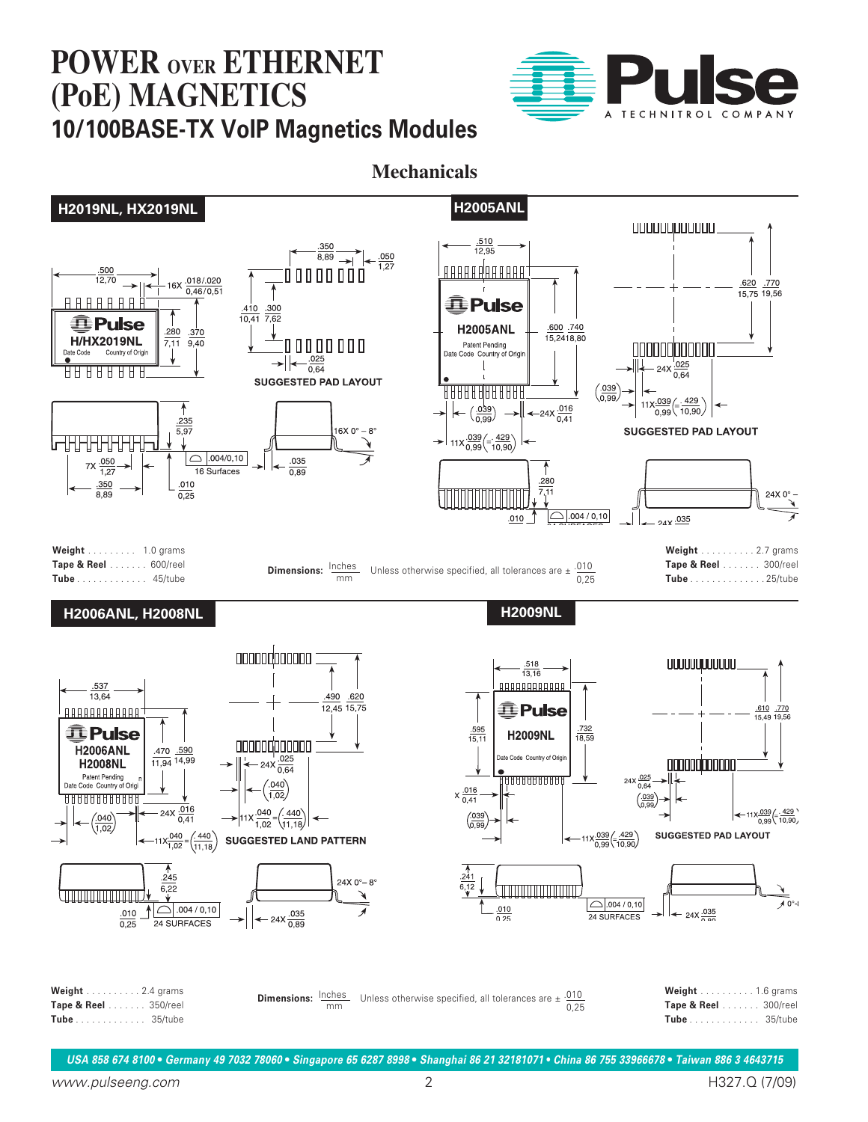

**Mechanicals**

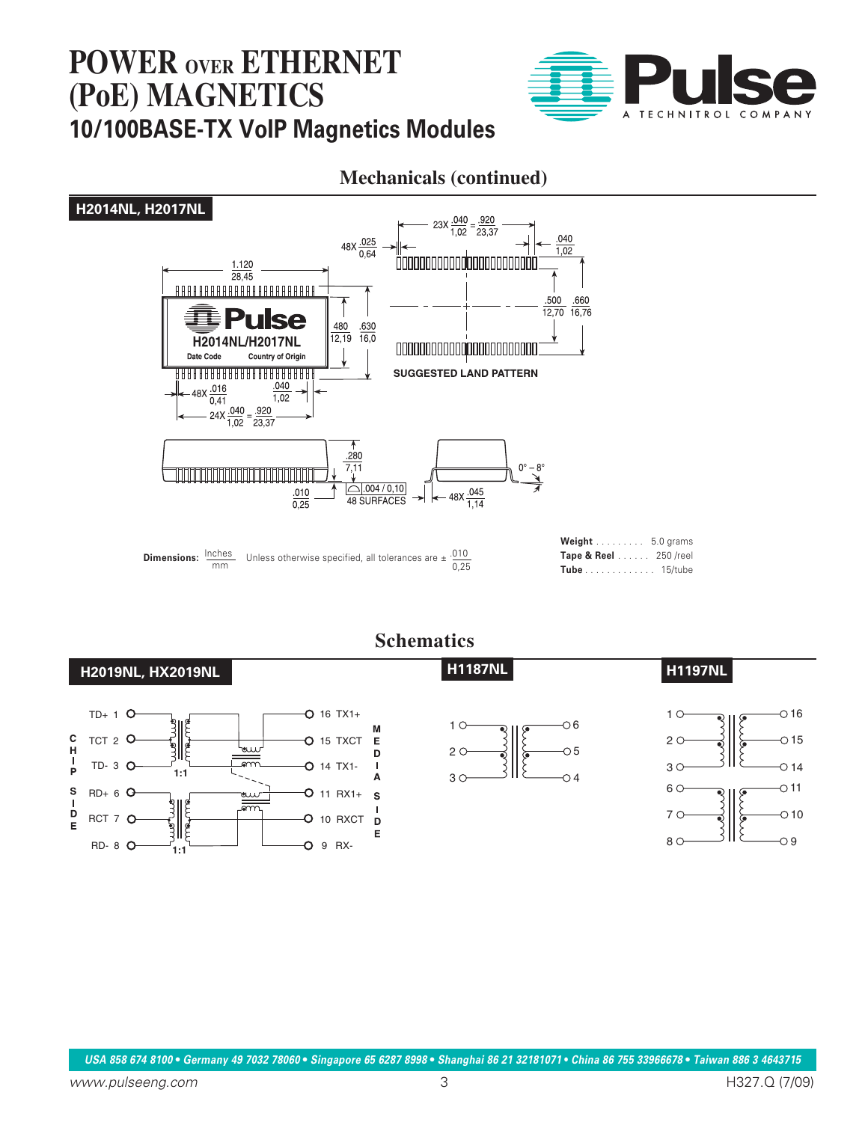

## **Mechanicals (continued)**



#### **Schematics**

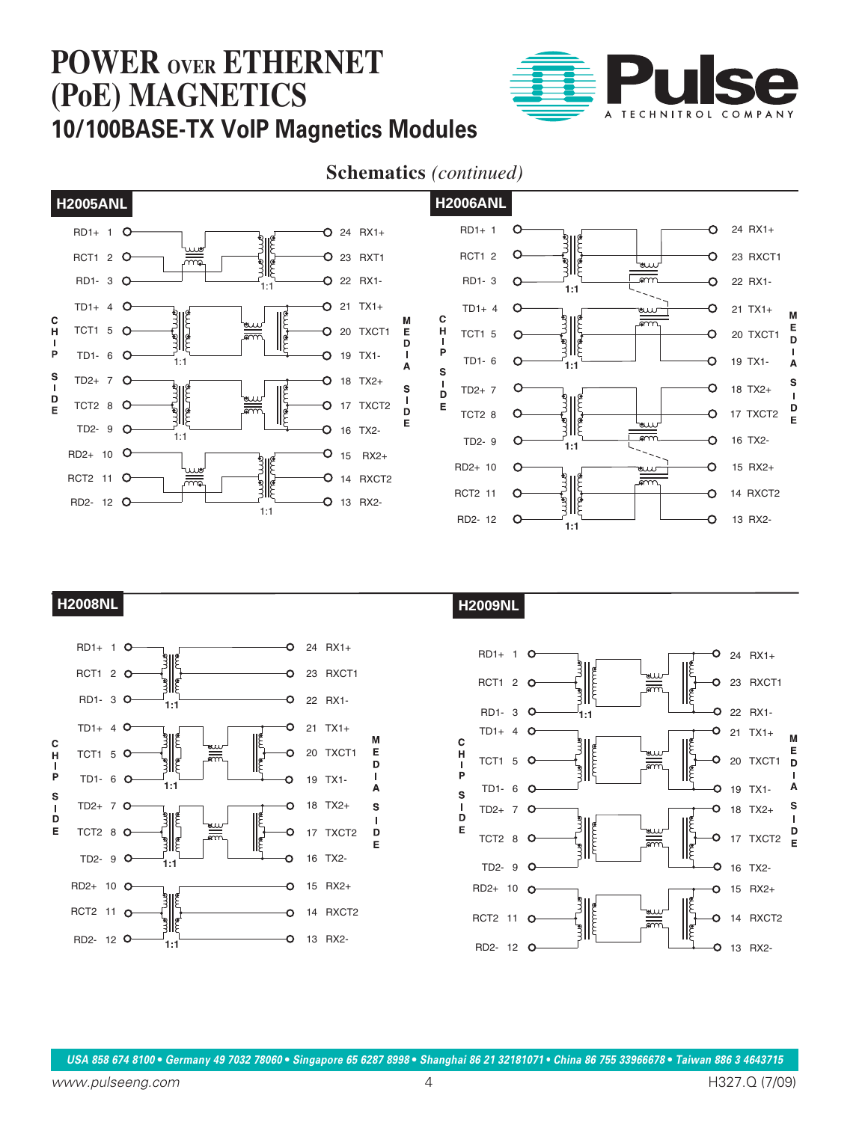

### **Schematics** *(continued)*



**H2008NL H2009NL**